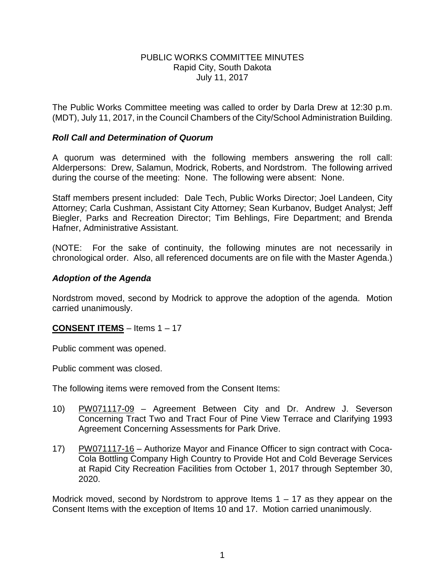### PUBLIC WORKS COMMITTEE MINUTES Rapid City, South Dakota July 11, 2017

The Public Works Committee meeting was called to order by Darla Drew at 12:30 p.m. (MDT), July 11, 2017, in the Council Chambers of the City/School Administration Building.

### *Roll Call and Determination of Quorum*

A quorum was determined with the following members answering the roll call: Alderpersons: Drew, Salamun, Modrick, Roberts, and Nordstrom. The following arrived during the course of the meeting: None. The following were absent: None.

Staff members present included: Dale Tech, Public Works Director; Joel Landeen, City Attorney; Carla Cushman, Assistant City Attorney; Sean Kurbanov, Budget Analyst; Jeff Biegler, Parks and Recreation Director; Tim Behlings, Fire Department; and Brenda Hafner, Administrative Assistant.

(NOTE: For the sake of continuity, the following minutes are not necessarily in chronological order. Also, all referenced documents are on file with the Master Agenda.)

### *Adoption of the Agenda*

Nordstrom moved, second by Modrick to approve the adoption of the agenda. Motion carried unanimously.

#### **CONSENT ITEMS** – Items 1 – 17

Public comment was opened.

Public comment was closed.

The following items were removed from the Consent Items:

- 10) PW071117-09 Agreement Between City and Dr. Andrew J. Severson Concerning Tract Two and Tract Four of Pine View Terrace and Clarifying 1993 Agreement Concerning Assessments for Park Drive.
- 17) PW071117-16 Authorize Mayor and Finance Officer to sign contract with Coca-Cola Bottling Company High Country to Provide Hot and Cold Beverage Services at Rapid City Recreation Facilities from October 1, 2017 through September 30, 2020.

Modrick moved, second by Nordstrom to approve Items  $1 - 17$  as they appear on the Consent Items with the exception of Items 10 and 17. Motion carried unanimously.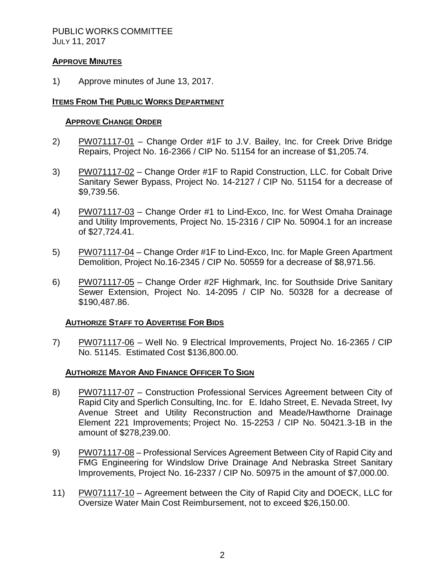### PUBLIC WORKS COMMITTEE JULY 11, 2017

## **APPROVE MINUTES**

1) Approve minutes of June 13, 2017.

### **ITEMS FROM THE PUBLIC WORKS DEPARTMENT**

#### **APPROVE CHANGE ORDER**

- 2) PW071117-01 Change Order #1F to J.V. Bailey, Inc. for Creek Drive Bridge Repairs, Project No. 16-2366 / CIP No. 51154 for an increase of \$1,205.74.
- 3) PW071117-02 Change Order #1F to Rapid Construction, LLC. for Cobalt Drive Sanitary Sewer Bypass, Project No. 14-2127 / CIP No. 51154 for a decrease of \$9,739.56.
- 4) PW071117-03 Change Order #1 to Lind-Exco, Inc. for West Omaha Drainage and Utility Improvements, Project No. 15-2316 / CIP No. 50904.1 for an increase of \$27,724.41.
- 5) PW071117-04 Change Order #1F to Lind-Exco, Inc. for Maple Green Apartment Demolition, Project No.16-2345 / CIP No. 50559 for a decrease of \$8,971.56.
- 6) PW071117-05 Change Order #2F Highmark, Inc. for Southside Drive Sanitary Sewer Extension, Project No. 14-2095 / CIP No. 50328 for a decrease of \$190,487.86.

#### **AUTHORIZE STAFF TO ADVERTISE FOR BIDS**

7) PW071117-06 – Well No. 9 Electrical Improvements, Project No. 16-2365 / CIP No. 51145. Estimated Cost \$136,800.00.

#### **AUTHORIZE MAYOR AND FINANCE OFFICER TO SIGN**

- 8) PW071117-07 Construction Professional Services Agreement between City of Rapid City and Sperlich Consulting, Inc. for E. Idaho Street, E. Nevada Street, Ivy Avenue Street and Utility Reconstruction and Meade/Hawthorne Drainage Element 221 Improvements; Project No. 15-2253 / CIP No. 50421.3-1B in the amount of \$278,239.00.
- 9) PW071117-08 Professional Services Agreement Between City of Rapid City and FMG Engineering for Windslow Drive Drainage And Nebraska Street Sanitary Improvements, Project No. 16-2337 / CIP No. 50975 in the amount of \$7,000.00.
- 11) PW071117-10 Agreement between the City of Rapid City and DOECK, LLC for Oversize Water Main Cost Reimbursement, not to exceed \$26,150.00.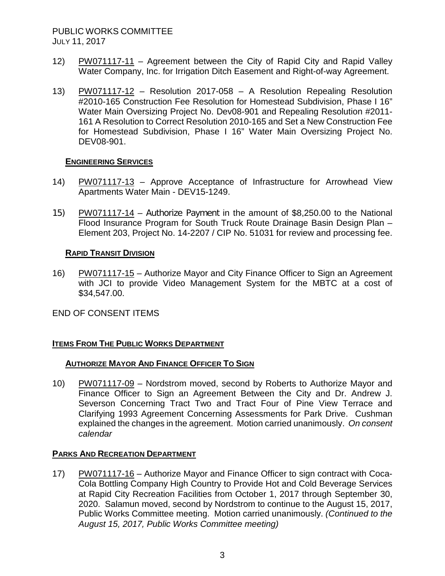# PUBLIC WORKS COMMITTEE JULY 11, 2017

- 12) PW071117-11 Agreement between the City of Rapid City and Rapid Valley Water Company, Inc. for Irrigation Ditch Easement and Right-of-way Agreement.
- 13) PW071117-12 Resolution 2017-058 A Resolution Repealing Resolution #2010-165 Construction Fee Resolution for Homestead Subdivision, Phase I 16" Water Main Oversizing Project No. Dev08-901 and Repealing Resolution #2011- 161 A Resolution to Correct Resolution 2010-165 and Set a New Construction Fee for Homestead Subdivision, Phase I 16" Water Main Oversizing Project No. DEV08-901.

### **ENGINEERING SERVICES**

- 14) PW071117-13 Approve Acceptance of Infrastructure for Arrowhead View Apartments Water Main - DEV15-1249.
- 15) PW071117-14 Authorize Payment in the amount of \$8,250.00 to the National Flood Insurance Program for South Truck Route Drainage Basin Design Plan – Element 203, Project No. 14-2207 / CIP No. 51031 for review and processing fee.

### **RAPID TRANSIT DIVISION**

16) PW071117-15 – Authorize Mayor and City Finance Officer to Sign an Agreement with JCI to provide Video Management System for the MBTC at a cost of \$34,547.00.

## END OF CONSENT ITEMS

## **ITEMS FROM THE PUBLIC WORKS DEPARTMENT**

## **AUTHORIZE MAYOR AND FINANCE OFFICER TO SIGN**

10) PW071117-09 – Nordstrom moved, second by Roberts to Authorize Mayor and Finance Officer to Sign an Agreement Between the City and Dr. Andrew J. Severson Concerning Tract Two and Tract Four of Pine View Terrace and Clarifying 1993 Agreement Concerning Assessments for Park Drive. Cushman explained the changes in the agreement. Motion carried unanimously. *On consent calendar*

## **PARKS AND RECREATION DEPARTMENT**

17) PW071117-16 – Authorize Mayor and Finance Officer to sign contract with Coca-Cola Bottling Company High Country to Provide Hot and Cold Beverage Services at Rapid City Recreation Facilities from October 1, 2017 through September 30, 2020. Salamun moved, second by Nordstrom to continue to the August 15, 2017, Public Works Committee meeting. Motion carried unanimously. *(Continued to the August 15, 2017, Public Works Committee meeting)*